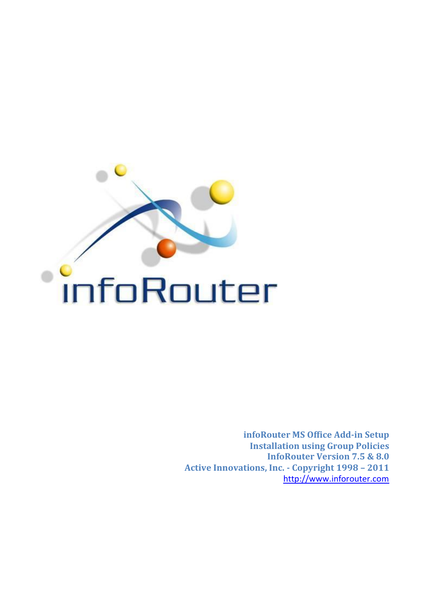

**infoRouter MS Office Add-in Setup Installation using Group Policies InfoRouter Version 7.5 & 8.0 Active Innovations, Inc. - Copyright 1998 – 2011** [http://www.inforouter.com](http://www.inforouter.com/)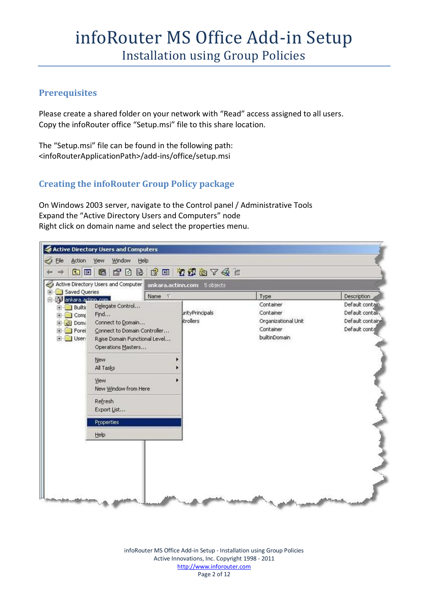#### **Prerequisites**

Please create a shared folder on your network with "Read" access assigned to all users. Copy the infoRouter office "Setup.msi" file to this share location.

The "Setup.msi" file can be found in the following path: <infoRouterApplicationPath>/add-ins/office/setup.msi

#### **Creating the infoRouter Group Policy package**

On Windows 2003 server, navigate to the Control panel / Administrative Tools Expand the "Active Directory Users and Computers" node Right click on domain name and select the properties menu.



infoRouter MS Office Add-in Setup - Installation using Group Policies Active Innovations, Inc. Copyright 1998 - 2011 http://www.inforouter.com Page 2 of 12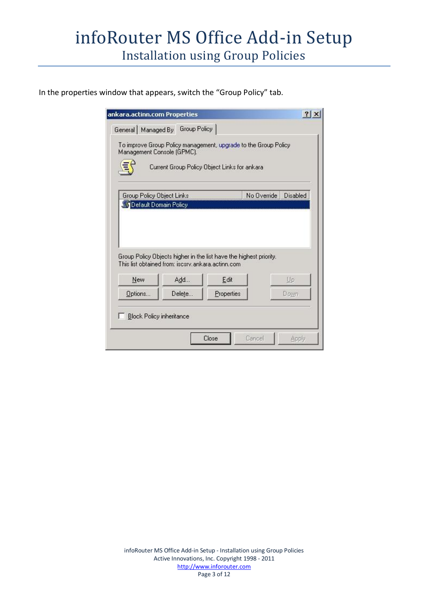In the properties window that appears, switch the "Group Policy" tab.

| To improve Group Policy management, upgrade to the Group Policy<br>Management Console (GPMC).<br>Current Group Policy Object Links for ankara<br>Group Policy Object Links<br>No Override<br><b>Default Domain Policy</b> | Disabled |
|---------------------------------------------------------------------------------------------------------------------------------------------------------------------------------------------------------------------------|----------|
|                                                                                                                                                                                                                           |          |
|                                                                                                                                                                                                                           |          |
| Group Policy Objects higher in the list have the highest priority.<br>This list obtained from: iscsrv.ankara.actinn.com                                                                                                   |          |
| Edit<br>New<br>Add<br>Up                                                                                                                                                                                                  |          |
| Properties<br>Options<br>Delete<br>Down                                                                                                                                                                                   |          |
| <b>Block Policy inheritance</b>                                                                                                                                                                                           |          |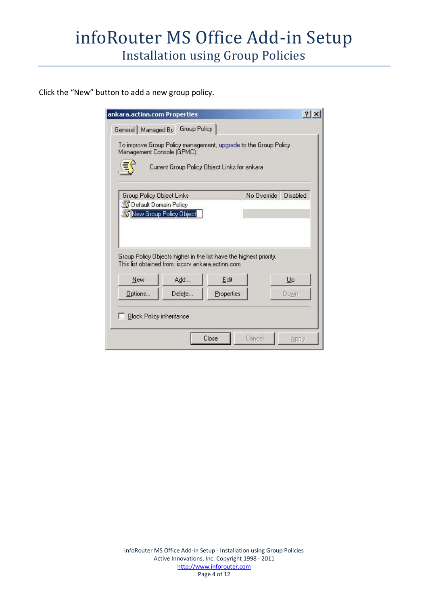Click the "New" button to add a new group policy.

|                                                    | General   Managed By   Group Policy                      |                                                                                                                 |             |          |
|----------------------------------------------------|----------------------------------------------------------|-----------------------------------------------------------------------------------------------------------------|-------------|----------|
| Management Console (GPMC).                         |                                                          | To improve Group Policy management, upgrade to the Group Policy<br>Current Group Policy Object Links for ankara |             |          |
| Group Policy Object Links                          |                                                          |                                                                                                                 | No Override | Disabled |
| S Default Domain Policy<br>New Group Policy Object |                                                          |                                                                                                                 |             |          |
|                                                    |                                                          |                                                                                                                 |             |          |
| New                                                | This list obtained from: iscsrv.ankara.actinn.com<br>Add | Group Policy Objects higher in the list have the highest priority.<br>Edit                                      |             | Up       |
| Options                                            | Delete                                                   | Properties                                                                                                      |             | Down     |
| <b>Block Policy inheritance</b>                    |                                                          |                                                                                                                 |             |          |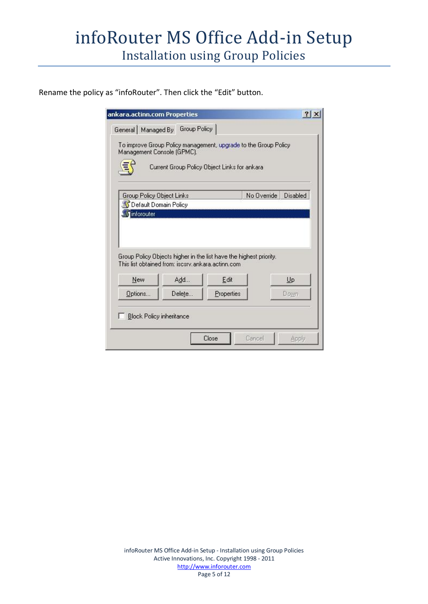Rename the policy as "infoRouter". Then click the "Edit" button.

| General   Managed By       | Group Policy                                      |                                                                                                                 |             |          |
|----------------------------|---------------------------------------------------|-----------------------------------------------------------------------------------------------------------------|-------------|----------|
| Management Console (GPMC). |                                                   | To improve Group Policy management, upgrade to the Group Policy<br>Current Group Policy Object Links for ankara |             |          |
| Group Policy Object Links  |                                                   |                                                                                                                 | No Override | Disabled |
| S Default Domain Policy    |                                                   |                                                                                                                 |             |          |
|                            |                                                   |                                                                                                                 |             |          |
|                            | This list obtained from: iscsrv.ankara.actinn.com | Group Policy Objects higher in the list have the highest priority.                                              |             |          |
| New                        | Add                                               | Edit                                                                                                            |             | Up       |
| Options                    | Delete                                            | Properties                                                                                                      |             | Down     |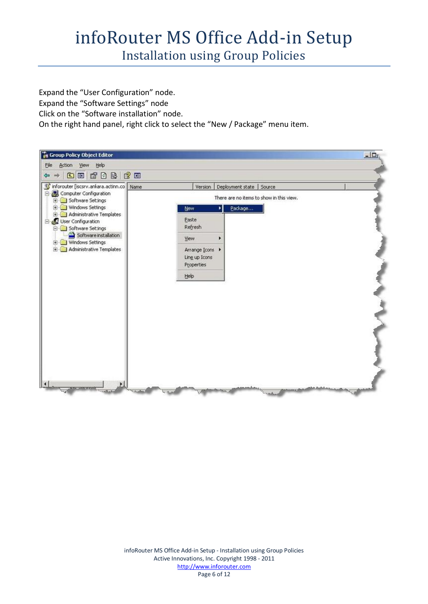## infoRouter MS Office Add-in Setup

Installation using Group Policies

Expand the "User Configuration" node.

Expand the "Software Settings" node

Click on the "Software installation" node.

On the right hand panel, right click to select the "New / Package" menu item.

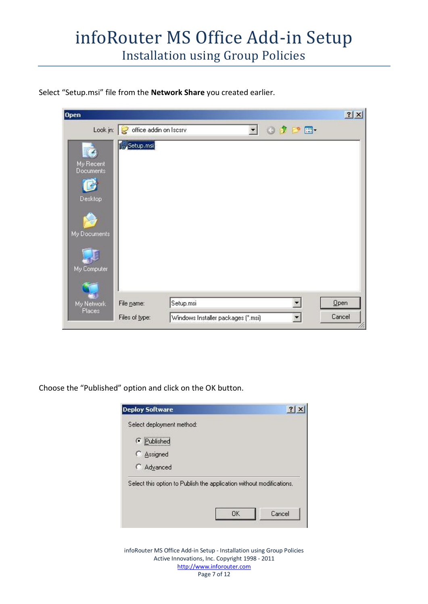Select "Setup.msi" file from the **Network Share** you created earlier.

| <b>Open</b>                 |                                   |           |                                    |              |                   | ? X    |
|-----------------------------|-----------------------------------|-----------|------------------------------------|--------------|-------------------|--------|
|                             | Look in: c office addin on Iscsrv |           |                                    | $\mathbf{r}$ | $O$ $D$ $P$ $\Pi$ |        |
| My Recent<br>Documents      | Setup.msi                         |           |                                    |              |                   |        |
| Desktop                     |                                   |           |                                    |              |                   |        |
| My Documents<br>My Computer |                                   |           |                                    |              |                   |        |
| My Network                  | File name:                        | Setup.msi |                                    |              |                   | Qpen   |
| Places                      | Files of type:                    |           | Windows Installer packages (".msi) |              |                   | Cancel |

Choose the "Published" option and click on the OK button.



infoRouter MS Office Add-in Setup - Installation using Group Policies Active Innovations, Inc. Copyright 1998 - 2011 http://www.inforouter.com Page 7 of 12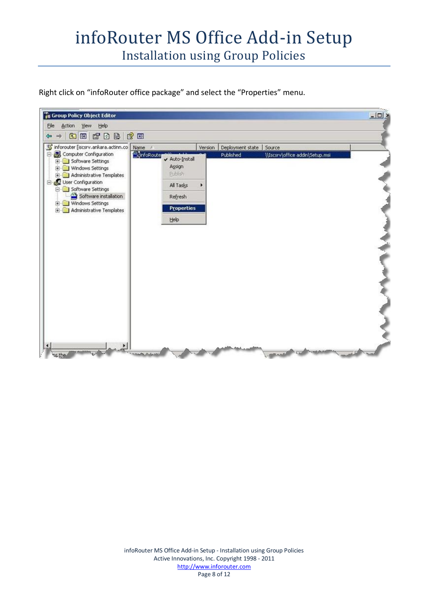Right click on "infoRouter office package" and select the "Properties" menu.

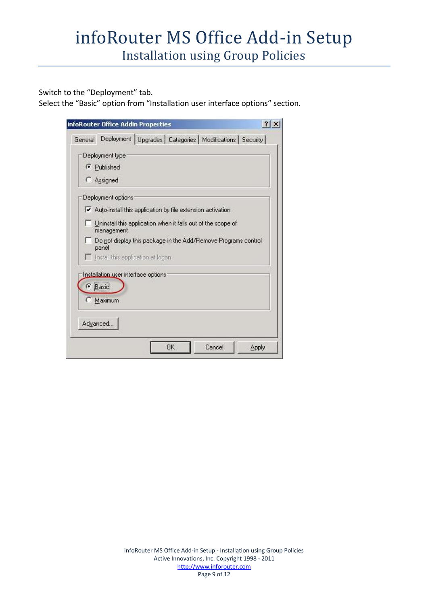Switch to the "Deployment" tab.

Select the "Basic" option from "Installation user interface options" section.

| infoRouter Office Addin Properties                                         | ? |
|----------------------------------------------------------------------------|---|
| Deployment   Upgrades   Categories   Modifications   Security  <br>General |   |
| Deployment type                                                            |   |
| Published                                                                  |   |
| <b>C</b> Assigned                                                          |   |
| Deployment options                                                         |   |
| Auto-install this application by file extension activation                 |   |
| Uninstall this application when it falls out of the scope of<br>management |   |
| Do not display this package in the Add/Remove Programs control<br>panel    |   |
| Install this application at logon.                                         |   |
| Installation user interface options:<br><b>C</b> Basic<br>Maximum<br>O     |   |
| Advanced                                                                   |   |
|                                                                            |   |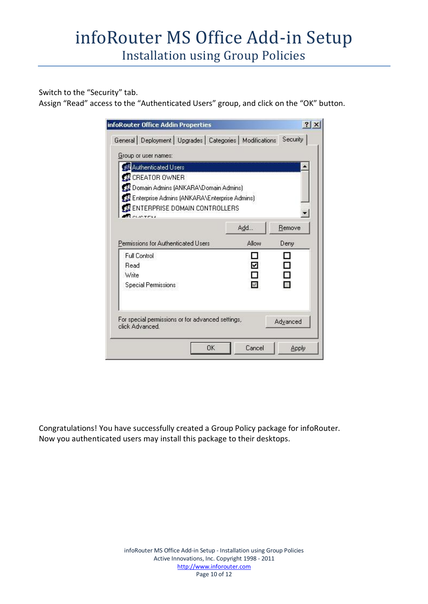Switch to the "Security" tab.

Assign "Read" access to the "Authenticated Users" group, and click on the "OK" button.

| General   Deployment   Upgrades   Categories   Modifications   Security |          |
|-------------------------------------------------------------------------|----------|
|                                                                         |          |
|                                                                         |          |
|                                                                         |          |
|                                                                         |          |
| 12 Domain Admins (ANKARA\Domain Admins)                                 |          |
| 122 Enterprise Admins (ANKARA\Enterprise Admins)                        |          |
| <b>32 ENTERPRISE DOMAIN CONTROLLERS</b>                                 |          |
|                                                                         |          |
|                                                                         | Remove   |
| Allow                                                                   | Deny     |
|                                                                         |          |
| ₹                                                                       |          |
|                                                                         | ٦        |
|                                                                         |          |
|                                                                         |          |
|                                                                         |          |
| For special permissions or for advanced settings,                       | Advanced |
|                                                                         |          |
| Cancel                                                                  | Apply    |
|                                                                         | Add      |

Congratulations! You have successfully created a Group Policy package for infoRouter. Now you authenticated users may install this package to their desktops.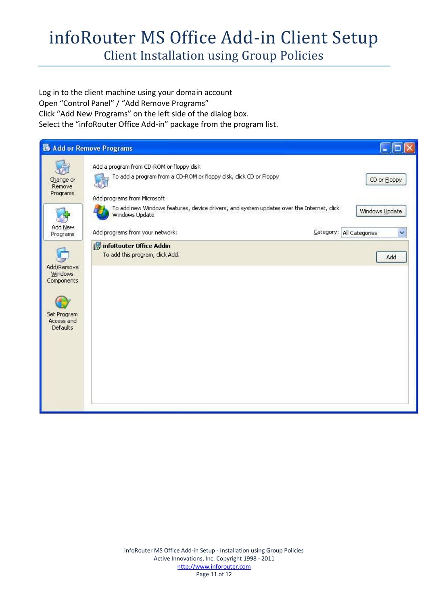## infoRouter MS Office Add-in Client Setup

Client Installation using Group Policies

Log in to the client machine using your domain account Open "Control Panel" / "Add Remove Programs" Click "Add New Programs" on the left side of the dialog box. Select the "infoRouter Office Add-in" package from the program list.

|                                                                                     | <b>B</b> Add or Remove Programs                                                                                                               |                                            |
|-------------------------------------------------------------------------------------|-----------------------------------------------------------------------------------------------------------------------------------------------|--------------------------------------------|
| Change or<br>Remove<br>Programs                                                     | Add a program from CD-ROM or floppy disk<br>To add a program from a CD-ROM or floppy disk, click CD or Floppy<br>Add programs from Microsoft  | CD or Eloppy                               |
| Add New<br>Programs                                                                 | To add new Windows features, device drivers, and system updates over the Internet, click<br>Windows Update<br>Add programs from your network: | Windows Update<br>Category: All Categories |
| Add/Remove<br><b>Windows</b><br>Components<br>Set Program<br>Access and<br>Defaults | infoRouter Office Addin<br>To add this program, click Add.                                                                                    | Add                                        |